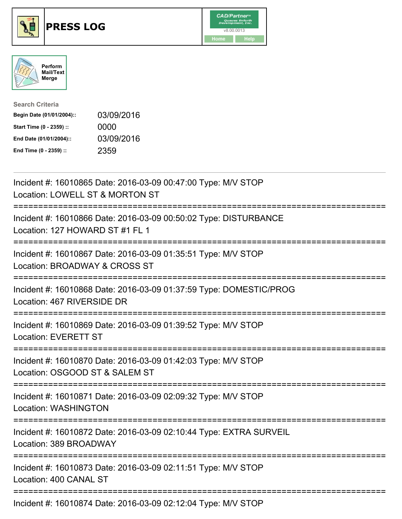





| <b>Search Criteria</b>    |            |
|---------------------------|------------|
| Begin Date (01/01/2004):: | 03/09/2016 |
| Start Time (0 - 2359) ::  | 0000       |
| End Date (01/01/2004)::   | 03/09/2016 |
| End Time (0 - 2359) ::    | 2359       |

| Incident #: 16010865 Date: 2016-03-09 00:47:00 Type: M/V STOP<br>Location: LOWELL ST & MORTON ST                               |
|--------------------------------------------------------------------------------------------------------------------------------|
| Incident #: 16010866 Date: 2016-03-09 00:50:02 Type: DISTURBANCE<br>Location: 127 HOWARD ST #1 FL 1                            |
| Incident #: 16010867 Date: 2016-03-09 01:35:51 Type: M/V STOP<br>Location: BROADWAY & CROSS ST<br>=========<br>============    |
| Incident #: 16010868 Date: 2016-03-09 01:37:59 Type: DOMESTIC/PROG<br>Location: 467 RIVERSIDE DR<br>==================         |
| Incident #: 16010869 Date: 2016-03-09 01:39:52 Type: M/V STOP<br><b>Location: EVERETT ST</b><br>============================== |
| Incident #: 16010870 Date: 2016-03-09 01:42:03 Type: M/V STOP<br>Location: OSGOOD ST & SALEM ST                                |
| Incident #: 16010871 Date: 2016-03-09 02:09:32 Type: M/V STOP<br>Location: WASHINGTON                                          |
| Incident #: 16010872 Date: 2016-03-09 02:10:44 Type: EXTRA SURVEIL<br>Location: 389 BROADWAY                                   |
| Incident #: 16010873 Date: 2016-03-09 02:11:51 Type: M/V STOP<br>Location: 400 CANAL ST                                        |
| Incident #: 16010874 Date: 2016-03-09 02:12:04 Type: M/V STOP                                                                  |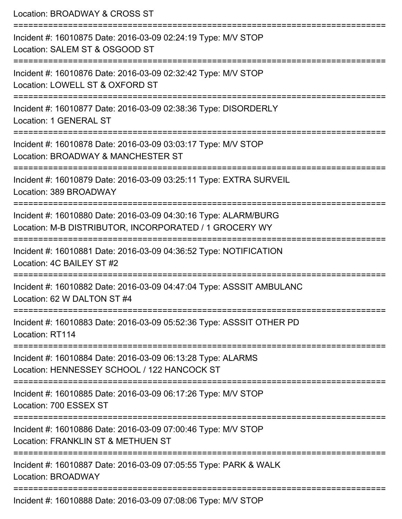Location: BROADWAY & CROSS ST =========================================================================== Incident #: 16010875 Date: 2016-03-09 02:24:19 Type: M/V STOP Location: SALEM ST & OSGOOD ST =========================================================================== Incident #: 16010876 Date: 2016-03-09 02:32:42 Type: M/V STOP Location: LOWELL ST & OXFORD ST =========================================================================== Incident #: 16010877 Date: 2016-03-09 02:38:36 Type: DISORDERLY Location: 1 GENERAL ST =========================================================================== Incident #: 16010878 Date: 2016-03-09 03:03:17 Type: M/V STOP Location: BROADWAY & MANCHESTER ST =========================================================================== Incident #: 16010879 Date: 2016-03-09 03:25:11 Type: EXTRA SURVEIL Location: 389 BROADWAY =========================================================================== Incident #: 16010880 Date: 2016-03-09 04:30:16 Type: ALARM/BURG Location: M-B DISTRIBUTOR, INCORPORATED / 1 GROCERY WY =========================================================================== Incident #: 16010881 Date: 2016-03-09 04:36:52 Type: NOTIFICATION Location: 4C BAILEY ST #2 =========================================================================== Incident #: 16010882 Date: 2016-03-09 04:47:04 Type: ASSSIT AMBULANC Location: 62 W DALTON ST #4 =========================================================================== Incident #: 16010883 Date: 2016-03-09 05:52:36 Type: ASSSIT OTHER PD Location: RT114 =========================================================================== Incident #: 16010884 Date: 2016-03-09 06:13:28 Type: ALARMS Location: HENNESSEY SCHOOL / 122 HANCOCK ST =========================================================================== Incident #: 16010885 Date: 2016-03-09 06:17:26 Type: M/V STOP Location: 700 ESSEX ST =========================================================================== Incident #: 16010886 Date: 2016-03-09 07:00:46 Type: M/V STOP Location: FRANKLIN ST & METHUEN ST =========================================================================== Incident #: 16010887 Date: 2016-03-09 07:05:55 Type: PARK & WALK Location: BROADWAY ===========================================================================

Incident #: 16010888 Date: 2016-03-09 07:08:06 Type: M/V STOP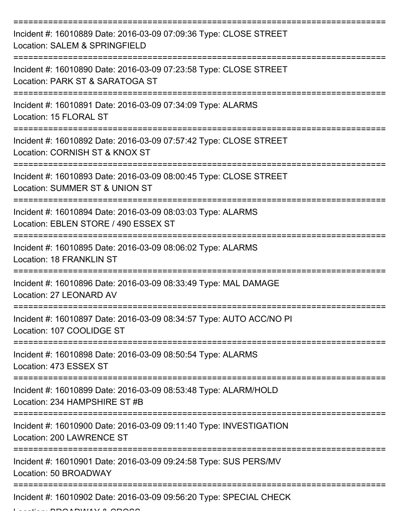| Incident #: 16010889 Date: 2016-03-09 07:09:36 Type: CLOSE STREET<br>Location: SALEM & SPRINGFIELD   |
|------------------------------------------------------------------------------------------------------|
| Incident #: 16010890 Date: 2016-03-09 07:23:58 Type: CLOSE STREET<br>Location: PARK ST & SARATOGA ST |
| Incident #: 16010891 Date: 2016-03-09 07:34:09 Type: ALARMS<br>Location: 15 FLORAL ST                |
| Incident #: 16010892 Date: 2016-03-09 07:57:42 Type: CLOSE STREET<br>Location: CORNISH ST & KNOX ST  |
| Incident #: 16010893 Date: 2016-03-09 08:00:45 Type: CLOSE STREET<br>Location: SUMMER ST & UNION ST  |
| Incident #: 16010894 Date: 2016-03-09 08:03:03 Type: ALARMS<br>Location: EBLEN STORE / 490 ESSEX ST  |
| Incident #: 16010895 Date: 2016-03-09 08:06:02 Type: ALARMS<br><b>Location: 18 FRANKLIN ST</b>       |
| Incident #: 16010896 Date: 2016-03-09 08:33:49 Type: MAL DAMAGE<br>Location: 27 LEONARD AV           |
| Incident #: 16010897 Date: 2016-03-09 08:34:57 Type: AUTO ACC/NO PI<br>Location: 107 COOLIDGE ST     |
| Incident #: 16010898 Date: 2016-03-09 08:50:54 Type: ALARMS<br>Location: 473 ESSEX ST                |
| Incident #: 16010899 Date: 2016-03-09 08:53:48 Type: ALARM/HOLD<br>Location: 234 HAMPSHIRE ST #B     |
| Incident #: 16010900 Date: 2016-03-09 09:11:40 Type: INVESTIGATION<br>Location: 200 LAWRENCE ST      |
| Incident #: 16010901 Date: 2016-03-09 09:24:58 Type: SUS PERS/MV<br>Location: 50 BROADWAY            |
| Incident #: 16010902 Date: 2016-03-09 09:56:20 Type: SPECIAL CHECK                                   |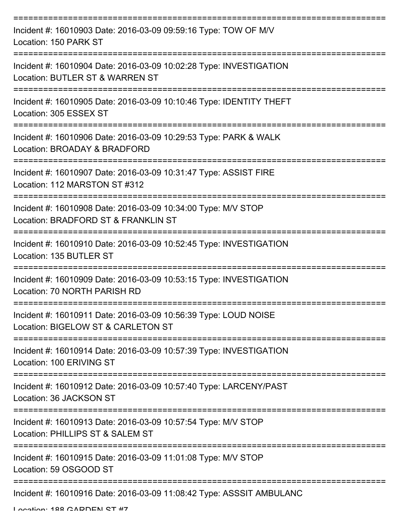| Incident #: 16010903 Date: 2016-03-09 09:59:16 Type: TOW OF M/V<br>Location: 150 PARK ST              |
|-------------------------------------------------------------------------------------------------------|
| Incident #: 16010904 Date: 2016-03-09 10:02:28 Type: INVESTIGATION<br>Location: BUTLER ST & WARREN ST |
| Incident #: 16010905 Date: 2016-03-09 10:10:46 Type: IDENTITY THEFT<br>Location: 305 ESSEX ST         |
| Incident #: 16010906 Date: 2016-03-09 10:29:53 Type: PARK & WALK<br>Location: BROADAY & BRADFORD      |
| Incident #: 16010907 Date: 2016-03-09 10:31:47 Type: ASSIST FIRE<br>Location: 112 MARSTON ST #312     |
| Incident #: 16010908 Date: 2016-03-09 10:34:00 Type: M/V STOP<br>Location: BRADFORD ST & FRANKLIN ST  |
| Incident #: 16010910 Date: 2016-03-09 10:52:45 Type: INVESTIGATION<br>Location: 135 BUTLER ST         |
| Incident #: 16010909 Date: 2016-03-09 10:53:15 Type: INVESTIGATION<br>Location: 70 NORTH PARISH RD    |
| Incident #: 16010911 Date: 2016-03-09 10:56:39 Type: LOUD NOISE<br>Location: BIGELOW ST & CARLETON ST |
| Incident #: 16010914 Date: 2016-03-09 10:57:39 Type: INVESTIGATION<br>Location: 100 ERIVING ST        |
| Incident #: 16010912 Date: 2016-03-09 10:57:40 Type: LARCENY/PAST<br>Location: 36 JACKSON ST          |
| Incident #: 16010913 Date: 2016-03-09 10:57:54 Type: M/V STOP<br>Location: PHILLIPS ST & SALEM ST     |
| Incident #: 16010915 Date: 2016-03-09 11:01:08 Type: M/V STOP<br>Location: 59 OSGOOD ST               |
| Incident #: 16010916 Date: 2016-03-09 11:08:42 Type: ASSSIT AMBULANC                                  |

Location: 188 CADDEN ST #7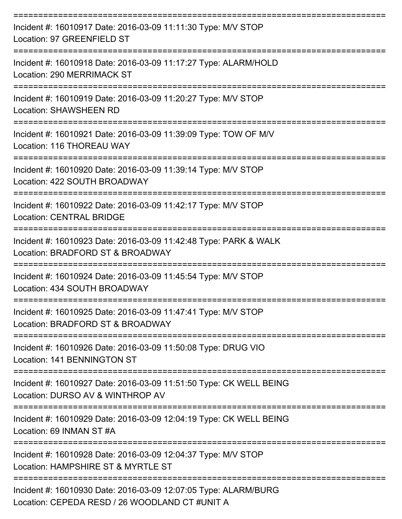| Incident #: 16010917 Date: 2016-03-09 11:11:30 Type: M/V STOP<br>Location: 97 GREENFIELD ST                       |
|-------------------------------------------------------------------------------------------------------------------|
| Incident #: 16010918 Date: 2016-03-09 11:17:27 Type: ALARM/HOLD<br>Location: 290 MERRIMACK ST                     |
| Incident #: 16010919 Date: 2016-03-09 11:20:27 Type: M/V STOP<br><b>Location: SHAWSHEEN RD</b>                    |
| Incident #: 16010921 Date: 2016-03-09 11:39:09 Type: TOW OF M/V<br>Location: 116 THOREAU WAY                      |
| Incident #: 16010920 Date: 2016-03-09 11:39:14 Type: M/V STOP<br>Location: 422 SOUTH BROADWAY                     |
| Incident #: 16010922 Date: 2016-03-09 11:42:17 Type: M/V STOP<br><b>Location: CENTRAL BRIDGE</b>                  |
| Incident #: 16010923 Date: 2016-03-09 11:42:48 Type: PARK & WALK<br>Location: BRADFORD ST & BROADWAY              |
| Incident #: 16010924 Date: 2016-03-09 11:45:54 Type: M/V STOP<br>Location: 434 SOUTH BROADWAY                     |
| Incident #: 16010925 Date: 2016-03-09 11:47:41 Type: M/V STOP<br>Location: BRADFORD ST & BROADWAY                 |
| Incident #: 16010926 Date: 2016-03-09 11:50:08 Type: DRUG VIO<br><b>Location: 141 BENNINGTON ST</b>               |
| Incident #: 16010927 Date: 2016-03-09 11:51:50 Type: CK WELL BEING<br>Location: DURSO AV & WINTHROP AV            |
| Incident #: 16010929 Date: 2016-03-09 12:04:19 Type: CK WELL BEING<br>Location: 69 INMAN ST #A                    |
| Incident #: 16010928 Date: 2016-03-09 12:04:37 Type: M/V STOP<br>Location: HAMPSHIRE ST & MYRTLE ST               |
| Incident #: 16010930 Date: 2016-03-09 12:07:05 Type: ALARM/BURG<br>Location: CEPEDA RESD / 26 WOODLAND CT #UNIT A |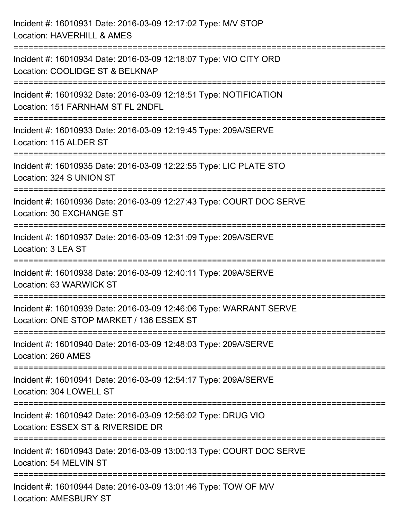| Incident #: 16010931 Date: 2016-03-09 12:17:02 Type: M/V STOP<br>Location: HAVERHILL & AMES                                                  |  |
|----------------------------------------------------------------------------------------------------------------------------------------------|--|
| Incident #: 16010934 Date: 2016-03-09 12:18:07 Type: VIO CITY ORD<br>Location: COOLIDGE ST & BELKNAP                                         |  |
| Incident #: 16010932 Date: 2016-03-09 12:18:51 Type: NOTIFICATION<br>Location: 151 FARNHAM ST FL 2NDFL<br>================================== |  |
| Incident #: 16010933 Date: 2016-03-09 12:19:45 Type: 209A/SERVE<br>Location: 115 ALDER ST                                                    |  |
| Incident #: 16010935 Date: 2016-03-09 12:22:55 Type: LIC PLATE STO<br>Location: 324 S UNION ST                                               |  |
| Incident #: 16010936 Date: 2016-03-09 12:27:43 Type: COURT DOC SERVE<br>Location: 30 EXCHANGE ST                                             |  |
| Incident #: 16010937 Date: 2016-03-09 12:31:09 Type: 209A/SERVE<br>Location: 3 LEA ST                                                        |  |
| Incident #: 16010938 Date: 2016-03-09 12:40:11 Type: 209A/SERVE<br>Location: 63 WARWICK ST                                                   |  |
| Incident #: 16010939 Date: 2016-03-09 12:46:06 Type: WARRANT SERVE<br>Location: ONE STOP MARKET / 136 ESSEX ST                               |  |
| Incident #: 16010940 Date: 2016-03-09 12:48:03 Type: 209A/SERVE<br>Location: 260 AMES                                                        |  |
| Incident #: 16010941 Date: 2016-03-09 12:54:17 Type: 209A/SERVE<br>Location: 304 LOWELL ST                                                   |  |
| Incident #: 16010942 Date: 2016-03-09 12:56:02 Type: DRUG VIO<br>Location: ESSEX ST & RIVERSIDE DR                                           |  |
| Incident #: 16010943 Date: 2016-03-09 13:00:13 Type: COURT DOC SERVE<br>Location: 54 MELVIN ST                                               |  |
| Incident #: 16010944 Date: 2016-03-09 13:01:46 Type: TOW OF M/V<br><b>Location: AMESBURY ST</b>                                              |  |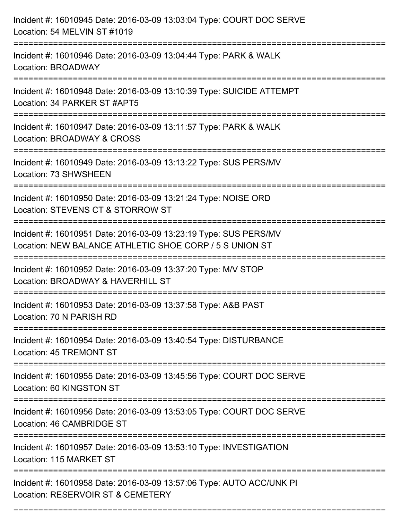| Incident #: 16010945 Date: 2016-03-09 13:03:04 Type: COURT DOC SERVE<br>Location: 54 MELVIN ST #1019                                                   |
|--------------------------------------------------------------------------------------------------------------------------------------------------------|
| :===================<br>Incident #: 16010946 Date: 2016-03-09 13:04:44 Type: PARK & WALK<br>Location: BROADWAY                                         |
| Incident #: 16010948 Date: 2016-03-09 13:10:39 Type: SUICIDE ATTEMPT<br>Location: 34 PARKER ST #APT5<br>:===========================                   |
| Incident #: 16010947 Date: 2016-03-09 13:11:57 Type: PARK & WALK<br>Location: BROADWAY & CROSS                                                         |
| Incident #: 16010949 Date: 2016-03-09 13:13:22 Type: SUS PERS/MV<br>Location: 73 SHWSHEEN                                                              |
| Incident #: 16010950 Date: 2016-03-09 13:21:24 Type: NOISE ORD<br>Location: STEVENS CT & STORROW ST                                                    |
| Incident #: 16010951 Date: 2016-03-09 13:23:19 Type: SUS PERS/MV<br>Location: NEW BALANCE ATHLETIC SHOE CORP / 5 S UNION ST<br>======================= |
| Incident #: 16010952 Date: 2016-03-09 13:37:20 Type: M/V STOP<br>Location: BROADWAY & HAVERHILL ST                                                     |
| Incident #: 16010953 Date: 2016-03-09 13:37:58 Type: A&B PAST<br>Location: 70 N PARISH RD                                                              |
| Incident #: 16010954 Date: 2016-03-09 13:40:54 Type: DISTURBANCE<br>Location: 45 TREMONT ST                                                            |
| Incident #: 16010955 Date: 2016-03-09 13:45:56 Type: COURT DOC SERVE<br>Location: 60 KINGSTON ST                                                       |
| Incident #: 16010956 Date: 2016-03-09 13:53:05 Type: COURT DOC SERVE<br>Location: 46 CAMBRIDGE ST                                                      |
| Incident #: 16010957 Date: 2016-03-09 13:53:10 Type: INVESTIGATION<br>Location: 115 MARKET ST                                                          |
| Incident #: 16010958 Date: 2016-03-09 13:57:06 Type: AUTO ACC/UNK PI<br>Location: RESERVOIR ST & CEMETERY                                              |

===========================================================================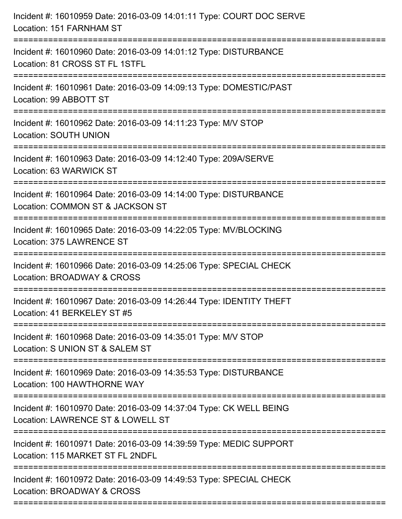| Incident #: 16010959 Date: 2016-03-09 14:01:11 Type: COURT DOC SERVE<br>Location: 151 FARNHAM ST                                    |
|-------------------------------------------------------------------------------------------------------------------------------------|
| :==========================<br>Incident #: 16010960 Date: 2016-03-09 14:01:12 Type: DISTURBANCE<br>Location: 81 CROSS ST FL 1STFL   |
| Incident #: 16010961 Date: 2016-03-09 14:09:13 Type: DOMESTIC/PAST<br>Location: 99 ABBOTT ST<br>=========================           |
| Incident #: 16010962 Date: 2016-03-09 14:11:23 Type: M/V STOP<br>Location: SOUTH UNION                                              |
| Incident #: 16010963 Date: 2016-03-09 14:12:40 Type: 209A/SERVE<br>Location: 63 WARWICK ST                                          |
| Incident #: 16010964 Date: 2016-03-09 14:14:00 Type: DISTURBANCE<br>Location: COMMON ST & JACKSON ST<br>=========================   |
| Incident #: 16010965 Date: 2016-03-09 14:22:05 Type: MV/BLOCKING<br>Location: 375 LAWRENCE ST<br>================================== |
| Incident #: 16010966 Date: 2016-03-09 14:25:06 Type: SPECIAL CHECK<br>Location: BROADWAY & CROSS                                    |
| Incident #: 16010967 Date: 2016-03-09 14:26:44 Type: IDENTITY THEFT<br>Location: 41 BERKELEY ST #5                                  |
| Incident #: 16010968 Date: 2016-03-09 14:35:01 Type: M/V STOP<br>Location: S UNION ST & SALEM ST                                    |
| Incident #: 16010969 Date: 2016-03-09 14:35:53 Type: DISTURBANCE<br>Location: 100 HAWTHORNE WAY                                     |
| Incident #: 16010970 Date: 2016-03-09 14:37:04 Type: CK WELL BEING<br>Location: LAWRENCE ST & LOWELL ST                             |
| Incident #: 16010971 Date: 2016-03-09 14:39:59 Type: MEDIC SUPPORT<br>Location: 115 MARKET ST FL 2NDFL                              |
| Incident #: 16010972 Date: 2016-03-09 14:49:53 Type: SPECIAL CHECK<br>Location: BROADWAY & CROSS                                    |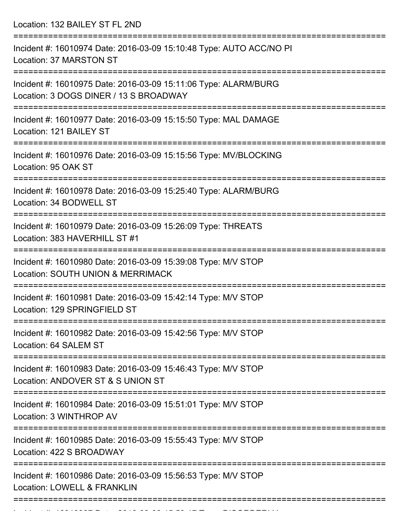Location: 132 BAILEY ST FL 2ND

| Incident #: 16010974 Date: 2016-03-09 15:10:48 Type: AUTO ACC/NO PI<br>Location: 37 MARSTON ST                             |
|----------------------------------------------------------------------------------------------------------------------------|
| Incident #: 16010975 Date: 2016-03-09 15:11:06 Type: ALARM/BURG<br>Location: 3 DOGS DINER / 13 S BROADWAY                  |
| Incident #: 16010977 Date: 2016-03-09 15:15:50 Type: MAL DAMAGE<br>Location: 121 BAILEY ST                                 |
| Incident #: 16010976 Date: 2016-03-09 15:15:56 Type: MV/BLOCKING<br>Location: 95 OAK ST                                    |
| Incident #: 16010978 Date: 2016-03-09 15:25:40 Type: ALARM/BURG<br>Location: 34 BODWELL ST                                 |
| Incident #: 16010979 Date: 2016-03-09 15:26:09 Type: THREATS<br>Location: 383 HAVERHILL ST #1                              |
| Incident #: 16010980 Date: 2016-03-09 15:39:08 Type: M/V STOP<br>Location: SOUTH UNION & MERRIMACK                         |
| Incident #: 16010981 Date: 2016-03-09 15:42:14 Type: M/V STOP<br>Location: 129 SPRINGFIELD ST                              |
| Incident #: 16010982 Date: 2016-03-09 15:42:56 Type: M/V STOP<br>Location: 64 SALEM ST                                     |
| ====================<br>Incident #: 16010983 Date: 2016-03-09 15:46:43 Type: M/V STOP<br>Location: ANDOVER ST & S UNION ST |
| Incident #: 16010984 Date: 2016-03-09 15:51:01 Type: M/V STOP<br>Location: 3 WINTHROP AV                                   |
| Incident #: 16010985 Date: 2016-03-09 15:55:43 Type: M/V STOP<br>Location: 422 S BROADWAY                                  |
| Incident #: 16010986 Date: 2016-03-09 15:56:53 Type: M/V STOP<br>Location: LOWELL & FRANKLIN                               |
|                                                                                                                            |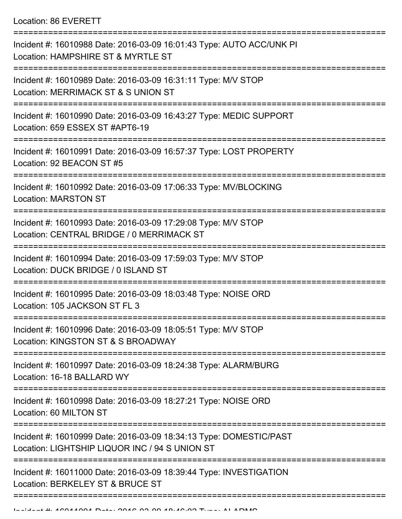| Incident #: 16010988 Date: 2016-03-09 16:01:43 Type: AUTO ACC/UNK PI<br>Location: HAMPSHIRE ST & MYRTLE ST           |
|----------------------------------------------------------------------------------------------------------------------|
| Incident #: 16010989 Date: 2016-03-09 16:31:11 Type: M/V STOP<br>Location: MERRIMACK ST & S UNION ST                 |
| Incident #: 16010990 Date: 2016-03-09 16:43:27 Type: MEDIC SUPPORT<br>Location: 659 ESSEX ST #APT6-19                |
| Incident #: 16010991 Date: 2016-03-09 16:57:37 Type: LOST PROPERTY<br>Location: 92 BEACON ST #5                      |
| Incident #: 16010992 Date: 2016-03-09 17:06:33 Type: MV/BLOCKING<br><b>Location: MARSTON ST</b>                      |
| Incident #: 16010993 Date: 2016-03-09 17:29:08 Type: M/V STOP<br>Location: CENTRAL BRIDGE / 0 MERRIMACK ST           |
| Incident #: 16010994 Date: 2016-03-09 17:59:03 Type: M/V STOP<br>Location: DUCK BRIDGE / 0 ISLAND ST                 |
| Incident #: 16010995 Date: 2016-03-09 18:03:48 Type: NOISE ORD<br>Location: 105 JACKSON ST FL 3                      |
| Incident #: 16010996 Date: 2016-03-09 18:05:51 Type: M/V STOP<br>Location: KINGSTON ST & S BROADWAY                  |
| Incident #: 16010997 Date: 2016-03-09 18:24:38 Type: ALARM/BURG<br>Location: 16-18 BALLARD WY                        |
| Incident #: 16010998 Date: 2016-03-09 18:27:21 Type: NOISE ORD<br>Location: 60 MILTON ST                             |
| Incident #: 16010999 Date: 2016-03-09 18:34:13 Type: DOMESTIC/PAST<br>Location: LIGHTSHIP LIQUOR INC / 94 S UNION ST |
| Incident #: 16011000 Date: 2016-03-09 18:39:44 Type: INVESTIGATION<br>Location: BERKELEY ST & BRUCE ST               |
|                                                                                                                      |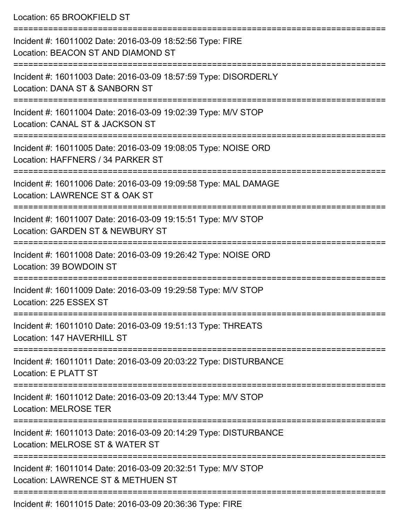Location: 65 BROOKFIFLD ST =========================================================================== Incident #: 16011002 Date: 2016-03-09 18:52:56 Type: FIRE Location: BEACON ST AND DIAMOND ST =========================================================================== Incident #: 16011003 Date: 2016-03-09 18:57:59 Type: DISORDERLY Location: DANA ST & SANBORN ST =========================================================================== Incident #: 16011004 Date: 2016-03-09 19:02:39 Type: M/V STOP Location: CANAL ST & JACKSON ST =========================================================================== Incident #: 16011005 Date: 2016-03-09 19:08:05 Type: NOISE ORD Location: HAFFNERS / 34 PARKER ST =========================================================================== Incident #: 16011006 Date: 2016-03-09 19:09:58 Type: MAL DAMAGE Location: LAWRENCE ST & OAK ST =========================================================================== Incident #: 16011007 Date: 2016-03-09 19:15:51 Type: M/V STOP Location: GARDEN ST & NEWBURY ST =========================================================================== Incident #: 16011008 Date: 2016-03-09 19:26:42 Type: NOISE ORD Location: 39 BOWDOIN ST =========================================================================== Incident #: 16011009 Date: 2016-03-09 19:29:58 Type: M/V STOP Location: 225 ESSEX ST =========================================================================== Incident #: 16011010 Date: 2016-03-09 19:51:13 Type: THREATS Location: 147 HAVERHILL ST =========================================================================== Incident #: 16011011 Date: 2016-03-09 20:03:22 Type: DISTURBANCE Location: E PLATT ST =========================================================================== Incident #: 16011012 Date: 2016-03-09 20:13:44 Type: M/V STOP Location: MELROSE TER =========================================================================== Incident #: 16011013 Date: 2016-03-09 20:14:29 Type: DISTURBANCE Location: MELROSE ST & WATER ST =========================================================================== Incident #: 16011014 Date: 2016-03-09 20:32:51 Type: M/V STOP Location: LAWRENCE ST & METHUEN ST

===========================================================================

Incident #: 16011015 Date: 2016-03-09 20:36:36 Type: FIRE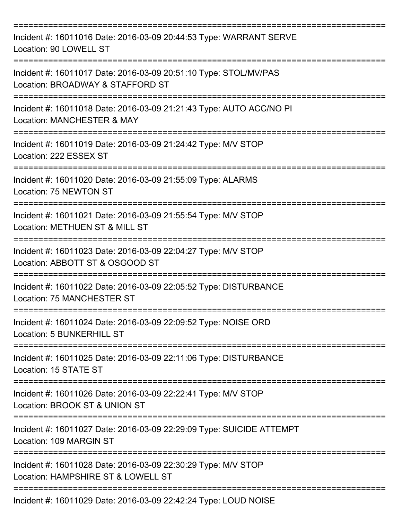| Incident #: 16011016 Date: 2016-03-09 20:44:53 Type: WARRANT SERVE<br>Location: 90 LOWELL ST         |
|------------------------------------------------------------------------------------------------------|
| Incident #: 16011017 Date: 2016-03-09 20:51:10 Type: STOL/MV/PAS<br>Location: BROADWAY & STAFFORD ST |
| Incident #: 16011018 Date: 2016-03-09 21:21:43 Type: AUTO ACC/NO PI<br>Location: MANCHESTER & MAY    |
| Incident #: 16011019 Date: 2016-03-09 21:24:42 Type: M/V STOP<br>Location: 222 ESSEX ST              |
| Incident #: 16011020 Date: 2016-03-09 21:55:09 Type: ALARMS<br>Location: 75 NEWTON ST                |
| Incident #: 16011021 Date: 2016-03-09 21:55:54 Type: M/V STOP<br>Location: METHUEN ST & MILL ST      |
| Incident #: 16011023 Date: 2016-03-09 22:04:27 Type: M/V STOP<br>Location: ABBOTT ST & OSGOOD ST     |
| Incident #: 16011022 Date: 2016-03-09 22:05:52 Type: DISTURBANCE<br>Location: 75 MANCHESTER ST       |
| Incident #: 16011024 Date: 2016-03-09 22:09:52 Type: NOISE ORD<br>Location: 5 BUNKERHILL ST          |
| Incident #: 16011025 Date: 2016-03-09 22:11:06 Type: DISTURBANCE<br>Location: 15 STATE ST            |
| Incident #: 16011026 Date: 2016-03-09 22:22:41 Type: M/V STOP<br>Location: BROOK ST & UNION ST       |
| Incident #: 16011027 Date: 2016-03-09 22:29:09 Type: SUICIDE ATTEMPT<br>Location: 109 MARGIN ST      |
| Incident #: 16011028 Date: 2016-03-09 22:30:29 Type: M/V STOP<br>Location: HAMPSHIRE ST & LOWELL ST  |
| Incident #: 16011029 Date: 2016-03-09 22:42:24 Type: LOUD NOISE                                      |